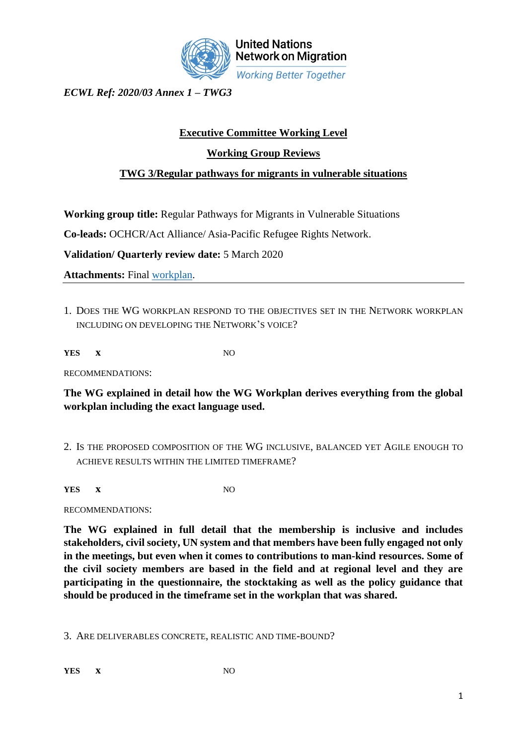

**United Nations Network on Migration Working Better Together** 

*ECWL Ref: 2020/03 Annex 1 – TWG3*

## **Executive Committee Working Level**

## **Working Group Reviews**

## **TWG 3/Regular pathways for migrants in vulnerable situations**

**Working group title:** Regular Pathways for Migrants in Vulnerable Situations

**Co-leads:** OCHCR/Act Alliance/ Asia-Pacific Refugee Rights Network.

**Validation/ Quarterly review date:** 5 March 2020

**Attachments:** Final [workplan.](file:///C:/Users/byounes/Desktop/WG%203%20Workplan_FINAL%2003%20Mar%202020.docx)

1. DOES THE WG WORKPLAN RESPOND TO THE OBJECTIVES SET IN THE NETWORK WORKPLAN INCLUDING ON DEVELOPING THE NETWORK'S VOICE?

**YES x** NO

RECOMMENDATIONS:

**The WG explained in detail how the WG Workplan derives everything from the global workplan including the exact language used.** 

2. IS THE PROPOSED COMPOSITION OF THE WG INCLUSIVE, BALANCED YET AGILE ENOUGH TO ACHIEVE RESULTS WITHIN THE LIMITED TIMEFRAME?

**YES x** NO

RECOMMENDATIONS:

**The WG explained in full detail that the membership is inclusive and includes stakeholders, civil society, UN system and that members have been fully engaged not only in the meetings, but even when it comes to contributions to man-kind resources. Some of the civil society members are based in the field and at regional level and they are participating in the questionnaire, the stocktaking as well as the policy guidance that should be produced in the timeframe set in the workplan that was shared.**

3. ARE DELIVERABLES CONCRETE, REALISTIC AND TIME-BOUND?

**YES x** NO